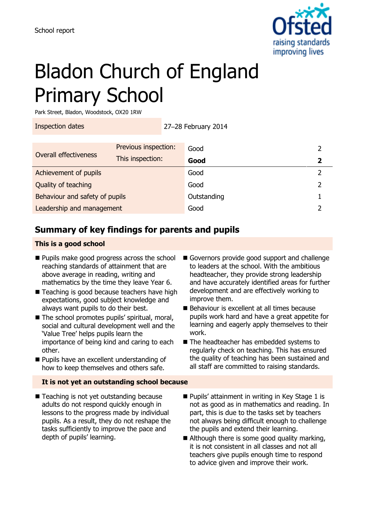

# Bladon Church of England Primary School

Park Street, Bladon, Woodstock, OX20 1RW

Inspection dates 27–28 February 2014

|                                | Previous inspection: | Good        |  |
|--------------------------------|----------------------|-------------|--|
| Overall effectiveness          | This inspection:     | Good        |  |
| Achievement of pupils          |                      | Good        |  |
| Quality of teaching            |                      | Good        |  |
| Behaviour and safety of pupils |                      | Outstanding |  |
| Leadership and management      |                      | Good        |  |

# **Summary of key findings for parents and pupils**

### **This is a good school**

- Pupils make good progress across the school reaching standards of attainment that are above average in reading, writing and mathematics by the time they leave Year 6.
- Teaching is good because teachers have high expectations, good subject knowledge and always want pupils to do their best.
- The school promotes pupils' spiritual, moral, social and cultural development well and the 'Value Tree' helps pupils learn the importance of being kind and caring to each other.
- **Pupils have an excellent understanding of** how to keep themselves and others safe.

#### **It is not yet an outstanding school because**

■ Teaching is not yet outstanding because adults do not respond quickly enough in lessons to the progress made by individual pupils. As a result, they do not reshape the tasks sufficiently to improve the pace and depth of pupils' learning.

- Governors provide good support and challenge to leaders at the school. With the ambitious headteacher, they provide strong leadership and have accurately identified areas for further development and are effectively working to improve them.
- Behaviour is excellent at all times because pupils work hard and have a great appetite for learning and eagerly apply themselves to their work.
- The headteacher has embedded systems to regularly check on teaching. This has ensured the quality of teaching has been sustained and all staff are committed to raising standards.
- Pupils' attainment in writing in Key Stage 1 is not as good as in mathematics and reading. In part, this is due to the tasks set by teachers not always being difficult enough to challenge the pupils and extend their learning.
- Although there is some good quality marking, it is not consistent in all classes and not all teachers give pupils enough time to respond to advice given and improve their work.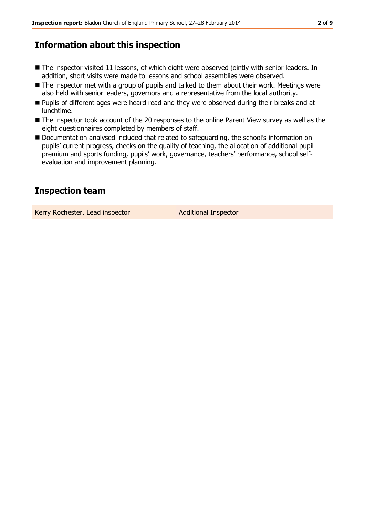### **Information about this inspection**

- The inspector visited 11 lessons, of which eight were observed jointly with senior leaders. In addition, short visits were made to lessons and school assemblies were observed.
- The inspector met with a group of pupils and talked to them about their work. Meetings were also held with senior leaders, governors and a representative from the local authority.
- **Pupils of different ages were heard read and they were observed during their breaks and at** lunchtime.
- The inspector took account of the 20 responses to the online Parent View survey as well as the eight questionnaires completed by members of staff.
- Documentation analysed included that related to safeguarding, the school's information on pupils' current progress, checks on the quality of teaching, the allocation of additional pupil premium and sports funding, pupils' work, governance, teachers' performance, school selfevaluation and improvement planning.

# **Inspection team**

Kerry Rochester, Lead inspector **Additional Inspector**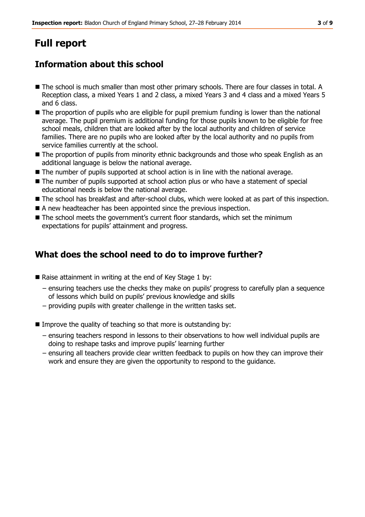# **Full report**

# **Information about this school**

- The school is much smaller than most other primary schools. There are four classes in total. A Reception class, a mixed Years 1 and 2 class, a mixed Years 3 and 4 class and a mixed Years 5 and 6 class.
- The proportion of pupils who are eligible for pupil premium funding is lower than the national average. The pupil premium is additional funding for those pupils known to be eligible for free school meals, children that are looked after by the local authority and children of service families. There are no pupils who are looked after by the local authority and no pupils from service families currently at the school.
- The proportion of pupils from minority ethnic backgrounds and those who speak English as an additional language is below the national average.
- The number of pupils supported at school action is in line with the national average.
- The number of pupils supported at school action plus or who have a statement of special educational needs is below the national average.
- The school has breakfast and after-school clubs, which were looked at as part of this inspection.
- A new headteacher has been appointed since the previous inspection.
- The school meets the government's current floor standards, which set the minimum expectations for pupils' attainment and progress.

## **What does the school need to do to improve further?**

- Raise attainment in writing at the end of Key Stage 1 by:
	- − ensuring teachers use the checks they make on pupils' progress to carefully plan a sequence of lessons which build on pupils' previous knowledge and skills
	- − providing pupils with greater challenge in the written tasks set.
- Improve the quality of teaching so that more is outstanding by:
	- − ensuring teachers respond in lessons to their observations to how well individual pupils are doing to reshape tasks and improve pupils' learning further
	- − ensuring all teachers provide clear written feedback to pupils on how they can improve their work and ensure they are given the opportunity to respond to the guidance.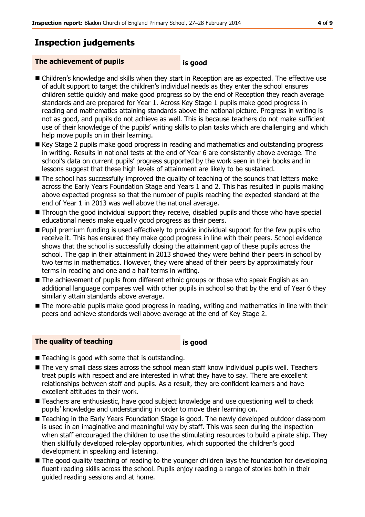# **Inspection judgements**

#### **The achievement of pupils is good**

- 
- Children's knowledge and skills when they start in Reception are as expected. The effective use of adult support to target the children's individual needs as they enter the school ensures children settle quickly and make good progress so by the end of Reception they reach average standards and are prepared for Year 1. Across Key Stage 1 pupils make good progress in reading and mathematics attaining standards above the national picture. Progress in writing is not as good, and pupils do not achieve as well. This is because teachers do not make sufficient use of their knowledge of the pupils' writing skills to plan tasks which are challenging and which help move pupils on in their learning.
- Key Stage 2 pupils make good progress in reading and mathematics and outstanding progress in writing. Results in national tests at the end of Year 6 are consistently above average. The school's data on current pupils' progress supported by the work seen in their books and in lessons suggest that these high levels of attainment are likely to be sustained.
- The school has successfully improved the quality of teaching of the sounds that letters make across the Early Years Foundation Stage and Years 1 and 2. This has resulted in pupils making above expected progress so that the number of pupils reaching the expected standard at the end of Year 1 in 2013 was well above the national average.
- Through the good individual support they receive, disabled pupils and those who have special educational needs make equally good progress as their peers.
- **Pupil premium funding is used effectively to provide individual support for the few pupils who** receive it. This has ensured they make good progress in line with their peers. School evidence shows that the school is successfully closing the attainment gap of these pupils across the school. The gap in their attainment in 2013 showed they were behind their peers in school by two terms in mathematics. However, they were ahead of their peers by approximately four terms in reading and one and a half terms in writing.
- The achievement of pupils from different ethnic groups or those who speak English as an additional language compares well with other pupils in school so that by the end of Year 6 they similarly attain standards above average.
- The more-able pupils make good progress in reading, writing and mathematics in line with their peers and achieve standards well above average at the end of Key Stage 2.

#### **The quality of teaching is good**

- $\blacksquare$  Teaching is good with some that is outstanding.
- The very small class sizes across the school mean staff know individual pupils well. Teachers treat pupils with respect and are interested in what they have to say. There are excellent relationships between staff and pupils. As a result, they are confident learners and have excellent attitudes to their work.
- **Teachers are enthusiastic, have good subject knowledge and use questioning well to check** pupils' knowledge and understanding in order to move their learning on.
- Teaching in the Early Years Foundation Stage is good. The newly developed outdoor classroom is used in an imaginative and meaningful way by staff. This was seen during the inspection when staff encouraged the children to use the stimulating resources to build a pirate ship. They then skillfully developed role-play opportunities, which supported the children's good development in speaking and listening.
- The good quality teaching of reading to the younger children lays the foundation for developing fluent reading skills across the school. Pupils enjoy reading a range of stories both in their guided reading sessions and at home.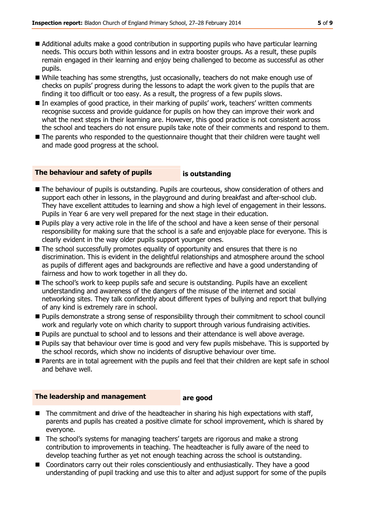- Additional adults make a good contribution in supporting pupils who have particular learning needs. This occurs both within lessons and in extra booster groups. As a result, these pupils remain engaged in their learning and enjoy being challenged to become as successful as other pupils.
- While teaching has some strengths, just occasionally, teachers do not make enough use of checks on pupils' progress during the lessons to adapt the work given to the pupils that are finding it too difficult or too easy. As a result, the progress of a few pupils slows.
- In examples of good practice, in their marking of pupils' work, teachers' written comments recognise success and provide guidance for pupils on how they can improve their work and what the next steps in their learning are. However, this good practice is not consistent across the school and teachers do not ensure pupils take note of their comments and respond to them.
- The parents who responded to the questionnaire thought that their children were taught well and made good progress at the school.

#### **The behaviour and safety of pupils is outstanding**

- The behaviour of pupils is outstanding. Pupils are courteous, show consideration of others and support each other in lessons, in the playground and during breakfast and after-school club. They have excellent attitudes to learning and show a high level of engagement in their lessons. Pupils in Year 6 are very well prepared for the next stage in their education.
- **Pupils play a very active role in the life of the school and have a keen sense of their personal** responsibility for making sure that the school is a safe and enjoyable place for everyone. This is clearly evident in the way older pupils support younger ones.
- The school successfully promotes equality of opportunity and ensures that there is no discrimination. This is evident in the delightful relationships and atmosphere around the school as pupils of different ages and backgrounds are reflective and have a good understanding of fairness and how to work together in all they do.
- The school's work to keep pupils safe and secure is outstanding. Pupils have an excellent understanding and awareness of the dangers of the misuse of the internet and social networking sites. They talk confidently about different types of bullying and report that bullying of any kind is extremely rare in school.
- **Pupils demonstrate a strong sense of responsibility through their commitment to school council** work and regularly vote on which charity to support through various fundraising activities.
- **Pupils are punctual to school and to lessons and their attendance is well above average.**
- Pupils say that behaviour over time is good and very few pupils misbehave. This is supported by the school records, which show no incidents of disruptive behaviour over time.
- **Parents are in total agreement with the pupils and feel that their children are kept safe in school** and behave well.

#### **The leadership and management are good**

- The commitment and drive of the headteacher in sharing his high expectations with staff, parents and pupils has created a positive climate for school improvement, which is shared by everyone.
- The school's systems for managing teachers' targets are rigorous and make a strong contribution to improvements in teaching. The headteacher is fully aware of the need to develop teaching further as yet not enough teaching across the school is outstanding.
- Coordinators carry out their roles conscientiously and enthusiastically. They have a good understanding of pupil tracking and use this to alter and adjust support for some of the pupils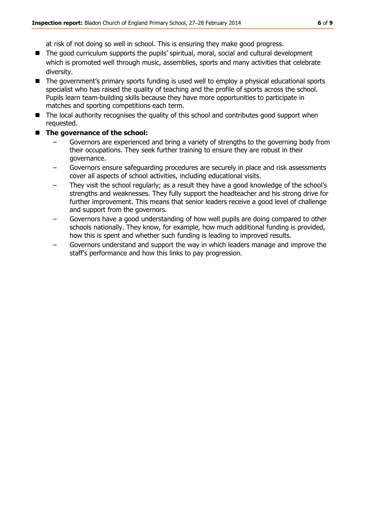at risk of not doing so well in school. This is ensuring they make good progress.

- The good curriculum supports the pupils' spiritual, moral, social and cultural development which is promoted well through music, assemblies, sports and many activities that celebrate diversity.
- The government's primary sports funding is used well to employ a physical educational sports specialist who has raised the quality of teaching and the profile of sports across the school. Pupils learn team-building skills because they have more opportunities to participate in matches and sporting competitions each term.
- The local authority recognises the quality of this school and contributes good support when requested.
- **The governance of the school:**
	- Governors are experienced and bring a variety of strengths to the governing body from their occupations. They seek further training to ensure they are robust in their governance.
	- Governors ensure safeguarding procedures are securely in place and risk assessments cover all aspects of school activities, including educational visits.
	- They visit the school regularly; as a result they have a good knowledge of the school's strengths and weaknesses. They fully support the headteacher and his strong drive for further improvement. This means that senior leaders receive a good level of challenge and support from the governors.
	- Governors have a good understanding of how well pupils are doing compared to other schools nationally. They know, for example, how much additional funding is provided, how this is spent and whether such funding is leading to improved results.
	- Governors understand and support the way in which leaders manage and improve the staff's performance and how this links to pay progression.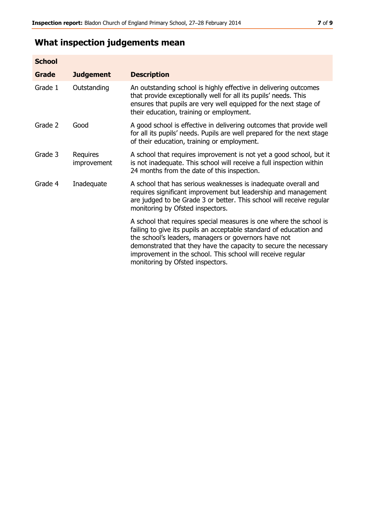# **What inspection judgements mean**

| <b>School</b> |                         |                                                                                                                                                                                                                                                                                                                                                                         |
|---------------|-------------------------|-------------------------------------------------------------------------------------------------------------------------------------------------------------------------------------------------------------------------------------------------------------------------------------------------------------------------------------------------------------------------|
| <b>Grade</b>  | <b>Judgement</b>        | <b>Description</b>                                                                                                                                                                                                                                                                                                                                                      |
| Grade 1       | Outstanding             | An outstanding school is highly effective in delivering outcomes<br>that provide exceptionally well for all its pupils' needs. This<br>ensures that pupils are very well equipped for the next stage of<br>their education, training or employment.                                                                                                                     |
| Grade 2       | Good                    | A good school is effective in delivering outcomes that provide well<br>for all its pupils' needs. Pupils are well prepared for the next stage<br>of their education, training or employment.                                                                                                                                                                            |
| Grade 3       | Requires<br>improvement | A school that requires improvement is not yet a good school, but it<br>is not inadequate. This school will receive a full inspection within<br>24 months from the date of this inspection.                                                                                                                                                                              |
| Grade 4       | Inadequate              | A school that has serious weaknesses is inadequate overall and<br>requires significant improvement but leadership and management<br>are judged to be Grade 3 or better. This school will receive regular<br>monitoring by Ofsted inspectors.                                                                                                                            |
|               |                         | A school that requires special measures is one where the school is<br>failing to give its pupils an acceptable standard of education and<br>the school's leaders, managers or governors have not<br>demonstrated that they have the capacity to secure the necessary<br>improvement in the school. This school will receive regular<br>monitoring by Ofsted inspectors. |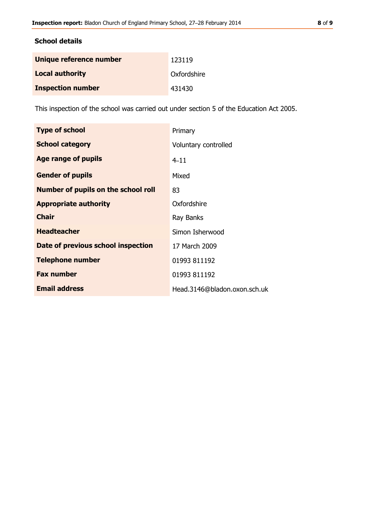### **School details**

| Unique reference number  | 123119      |
|--------------------------|-------------|
| <b>Local authority</b>   | Oxfordshire |
| <b>Inspection number</b> | 431430      |

This inspection of the school was carried out under section 5 of the Education Act 2005.

| <b>Type of school</b>               | Primary                      |
|-------------------------------------|------------------------------|
| <b>School category</b>              | Voluntary controlled         |
| Age range of pupils                 | $4 - 11$                     |
| <b>Gender of pupils</b>             | Mixed                        |
| Number of pupils on the school roll | 83                           |
| <b>Appropriate authority</b>        | Oxfordshire                  |
| <b>Chair</b>                        | Ray Banks                    |
| <b>Headteacher</b>                  | Simon Isherwood              |
| Date of previous school inspection  | 17 March 2009                |
| <b>Telephone number</b>             | 01993 811192                 |
| <b>Fax number</b>                   | 01993 811192                 |
| <b>Email address</b>                | Head.3146@bladon.oxon.sch.uk |